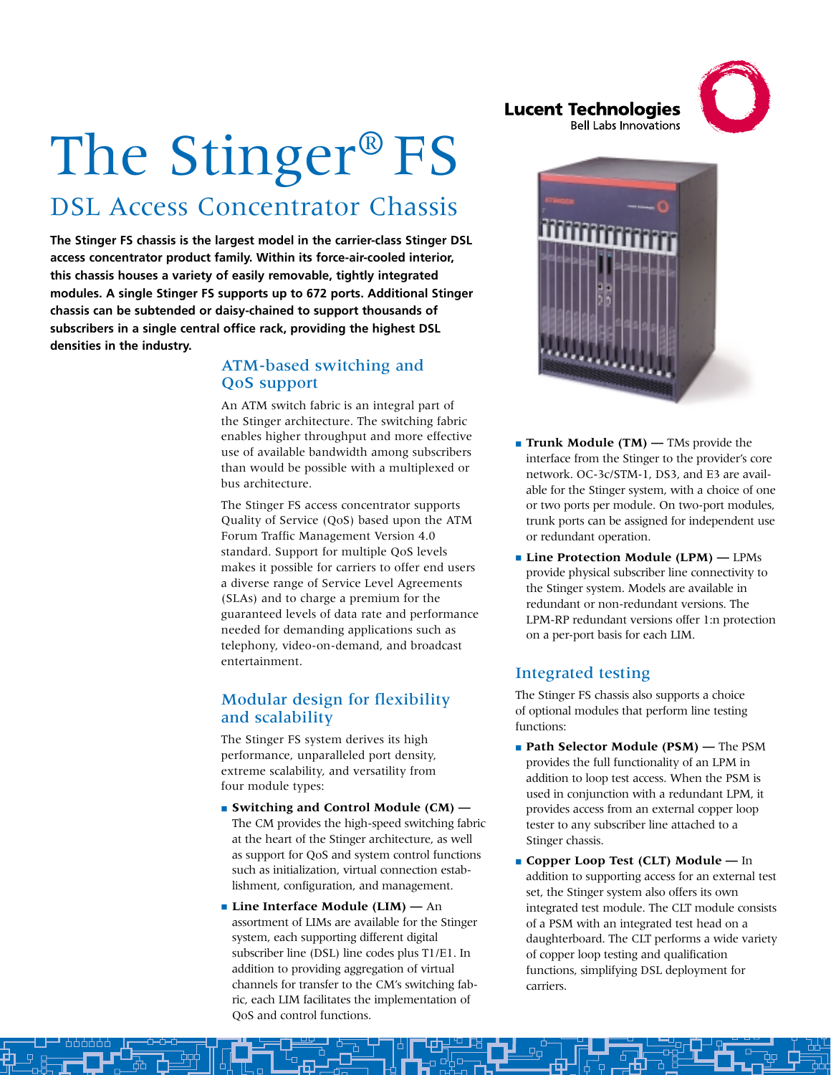**Lucent Technologies Bell Labs Innovations** 



# The Stinger® FS DSL Access Concentrator Chassis

**The Stinger FS chassis is the largest model in the carrier-class Stinger DSL access concentrator product family. Within its force-air-cooled interior, this chassis houses a variety of easily removable, tightly integrated modules. A single Stinger FS supports up to 672 ports. Additional Stinger chassis can be subtended or daisy-chained to support thousands of subscribers in a single central office rack, providing the highest DSL densities in the industry.**

## ATM-based switching and QoS support

An ATM switch fabric is an integral part of the Stinger architecture. The switching fabric enables higher throughput and more effective use of available bandwidth among subscribers than would be possible with a multiplexed or bus architecture.

The Stinger FS access concentrator supports Quality of Service (QoS) based upon the ATM Forum Traffic Management Version 4.0 standard. Support for multiple QoS levels makes it possible for carriers to offer end users a diverse range of Service Level Agreements (SLAs) and to charge a premium for the guaranteed levels of data rate and performance needed for demanding applications such as telephony, video-on-demand, and broadcast entertainment.

## Modular design for flexibility and scalability

The Stinger FS system derives its high performance, unparalleled port density, extreme scalability, and versatility from four module types:

- **Switching and Control Module (CM) —** The CM provides the high-speed switching fabric at the heart of the Stinger architecture, as well as support for QoS and system control functions such as initialization, virtual connection establishment, configuration, and management.
- **Line Interface Module (LIM)** An assortment of LIMs are available for the Stinger system, each supporting different digital subscriber line (DSL) line codes plus T1/E1. In addition to providing aggregation of virtual channels for transfer to the CM's switching fabric, each LIM facilitates the implementation of QoS and control functions.



- **Trunk Module (TM)** TMs provide the interface from the Stinger to the provider's core network. OC-3c/STM-1, DS3, and E3 are available for the Stinger system, with a choice of one or two ports per module. On two-port modules, trunk ports can be assigned for independent use or redundant operation.
- **Line Protection Module (LPM)** LPMs provide physical subscriber line connectivity to the Stinger system. Models are available in redundant or non-redundant versions. The LPM-RP redundant versions offer 1:n protection on a per-port basis for each LIM.

## Integrated testing

The Stinger FS chassis also supports a choice of optional modules that perform line testing functions:

- **Path Selector Module (PSM)** The PSM provides the full functionality of an LPM in addition to loop test access. When the PSM is used in conjunction with a redundant LPM, it provides access from an external copper loop tester to any subscriber line attached to a Stinger chassis.
- **Copper Loop Test (CLT) Module —** In addition to supporting access for an external test set, the Stinger system also offers its own integrated test module. The CLT module consists of a PSM with an integrated test head on a daughterboard. The CLT performs a wide variety of copper loop testing and qualification functions, simplifying DSL deployment for carriers.